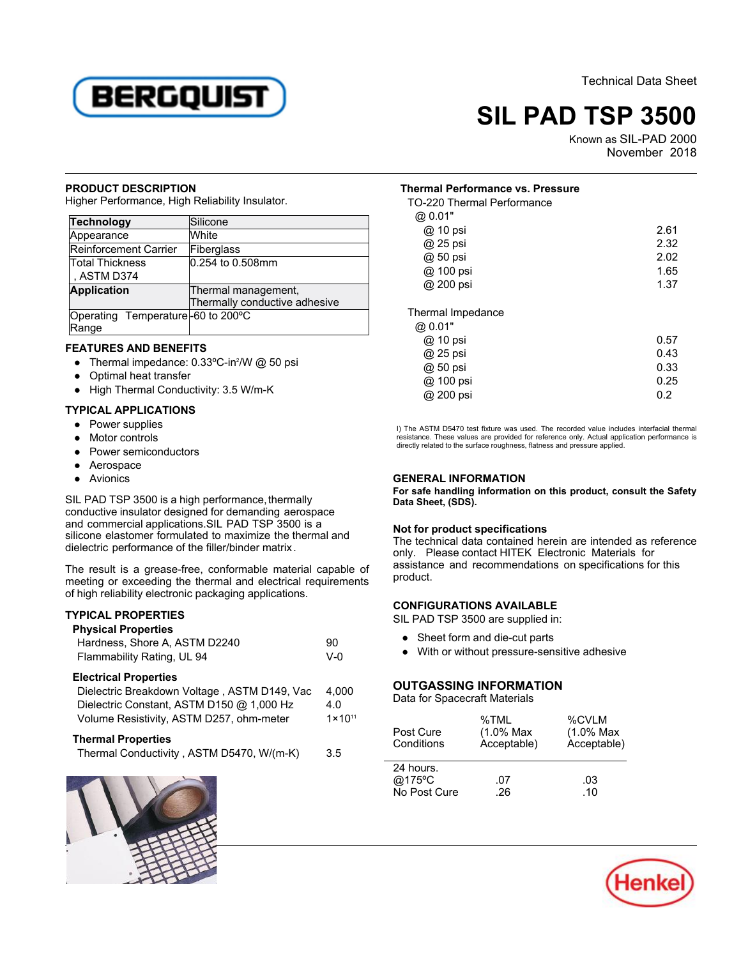

# **SIL PAD TSP 3500**

Known as SIL-PAD 2000 Ab 2000<br>November 2018

#### **PRODUCT DESCRIPTION**

Higher Performance, High Reliability Insulator.

| <b>Technology</b>                 | Silicone                      |
|-----------------------------------|-------------------------------|
| Appearance                        | White                         |
| <b>Reinforcement Carrier</b>      | Fiberglass                    |
| Total Thickness                   | 0.254 to 0.508mm              |
| , ASTM D374                       |                               |
| <b>Application</b>                | Thermal management,           |
|                                   | Thermally conductive adhesive |
| Operating Temperature-60 to 200°C |                               |
| Range                             |                               |

# **FEATURES AND BENEFITS**

- Thermal impedance:  $0.33^{\circ}$ C-in $^{2}/W$  @ 50 psi
- Optimal heat transfer
- High Thermal Conductivity: 3.5 W/m-K

## **TYPICAL APPLICATIONS**

- Power supplies
- Motor controls
- Power semiconductors
- Aerospace
- Avionics

SIL PAD TSP 3500 is a high performance, thermally conductive insulator designed for demanding aerospace and commercial applications.SIL PAD TSP 3500 is a silicone elastomer formulated to maximize the thermal and sincond clastomer formalated to maximize the t<br>dielectric performance of the filler/binder matrix.

The result is a grease-free, conformable material capable of meeting or exceeding the thermal and electrical requirements of high reliability electronic packaging applications.

### **TYPICAL PROPERTIES**

**Physical Properties**

| Hardness, Shore A, ASTM D2240<br>Flammability Rating, UL 94                                                                                                           | 90<br>$V-0$                        |
|-----------------------------------------------------------------------------------------------------------------------------------------------------------------------|------------------------------------|
| <b>Electrical Properties</b><br>Dielectric Breakdown Voltage, ASTM D149, Vac<br>Dielectric Constant, ASTM D150 @ 1,000 Hz<br>Volume Resistivity, ASTM D257, ohm-meter | 4.000<br>4.0<br>$1 \times 10^{11}$ |
| <b>Thermal Properties</b><br>Thermal Conductivity, ASTM D5470, W/(m-K)                                                                                                | 3.5                                |



## **Thermal Performance vs. Pressure**

| TO-220 Thermal Performance |      |
|----------------------------|------|
| @ 0.01"                    |      |
| @ 10 psi                   | 2.61 |
| @ 25 psi                   | 2.32 |
| @ 50 psi                   | 2.02 |
| @ 100 psi                  | 1.65 |
| @ 200 psi                  | 1.37 |
| Thermal Impedance          |      |
| @ 0.01"                    |      |
| @ 10 psi                   | 0.57 |
| @ 25 psi                   | 0.43 |
| @ 50 psi                   | 0.33 |
| @ 100 psi                  | 0.25 |
| @ 200 psi                  | 0.2  |

I) The ASTM D5470 test fixture was used. The recorded value includes interfacial thermal resistance. These values are provided for reference only. Actual application performance is directly related to the surface roughness, flatness and pressure applied.

# **GENERAL INFORMATION**

**For safe handling information on this product, consult the Safety Data Sheet, (SDS).**

# **Not for product specifications**

The technical data contained herein are intended as reference only. Please contact HITEK Electronic Materials for assistance and recommendations on specifications for this product.

### **CONFIGURATIONS AVAILABLE**

SIL PAD TSP 3500 are supplied in:

- Sheet form and die-cut parts
- With or without pressure-sensitive adhesive

# **OUTGASSING INFORMATION**

Data for Spacecraft Materials

| Post Cure<br>Conditions             | %TMI<br>$(1.0\% \text{ Max})$<br>Acceptable) | %CVLM<br>$(1.0\% \text{ Max})$<br>Acceptable) |
|-------------------------------------|----------------------------------------------|-----------------------------------------------|
| 24 hours.<br>@175°C<br>No Post Cure | .07<br>26                                    | -03<br>-10                                    |